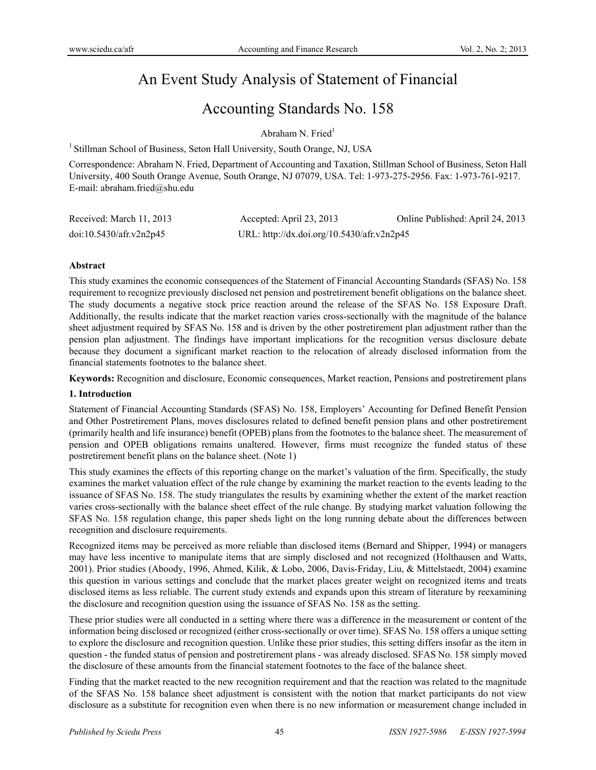# An Event Study Analysis of Statement of Financial

## Accounting Standards No. 158

Abraham N. Fried $<sup>1</sup>$ </sup>

<sup>1</sup> Stillman School of Business, Seton Hall University, South Orange, NJ, USA

Correspondence: Abraham N. Fried, Department of Accounting and Taxation, Stillman School of Business, Seton Hall University, 400 South Orange Avenue, South Orange, NJ 07079, USA. Tel: 1-973-275-2956. Fax: 1-973-761-9217. E-mail: abraham.fried@shu.edu

| Received: March 11, 2013 | Accepted: April 23, 2013                   | Online Published: April 24, 2013 |
|--------------------------|--------------------------------------------|----------------------------------|
| doi:10.5430/afr.v2n2p45  | URL: http://dx.doi.org/10.5430/afr.v2n2p45 |                                  |

## **Abstract**

This study examines the economic consequences of the Statement of Financial Accounting Standards (SFAS) No. 158 requirement to recognize previously disclosed net pension and postretirement benefit obligations on the balance sheet. The study documents a negative stock price reaction around the release of the SFAS No. 158 Exposure Draft. Additionally, the results indicate that the market reaction varies cross-sectionally with the magnitude of the balance sheet adjustment required by SFAS No. 158 and is driven by the other postretirement plan adjustment rather than the pension plan adjustment. The findings have important implications for the recognition versus disclosure debate because they document a significant market reaction to the relocation of already disclosed information from the financial statements footnotes to the balance sheet.

**Keywords:** Recognition and disclosure, Economic consequences, Market reaction, Pensions and postretirement plans

## **1. Introduction**

Statement of Financial Accounting Standards (SFAS) No. 158, Employers' Accounting for Defined Benefit Pension and Other Postretirement Plans, moves disclosures related to defined benefit pension plans and other postretirement (primarily health and life insurance) benefit (OPEB) plans from the footnotes to the balance sheet. The measurement of pension and OPEB obligations remains unaltered. However, firms must recognize the funded status of these postretirement benefit plans on the balance sheet. (Note 1)

This study examines the effects of this reporting change on the market's valuation of the firm. Specifically, the study examines the market valuation effect of the rule change by examining the market reaction to the events leading to the issuance of SFAS No. 158. The study triangulates the results by examining whether the extent of the market reaction varies cross-sectionally with the balance sheet effect of the rule change. By studying market valuation following the SFAS No. 158 regulation change, this paper sheds light on the long running debate about the differences between recognition and disclosure requirements.

Recognized items may be perceived as more reliable than disclosed items (Bernard and Shipper, 1994) or managers may have less incentive to manipulate items that are simply disclosed and not recognized (Holthausen and Watts, 2001). Prior studies (Aboody, 1996, Ahmed, Kilik, & Lobo, 2006, Davis-Friday, Liu, & Mittelstaedt, 2004) examine this question in various settings and conclude that the market places greater weight on recognized items and treats disclosed items as less reliable. The current study extends and expands upon this stream of literature by reexamining the disclosure and recognition question using the issuance of SFAS No. 158 as the setting.

These prior studies were all conducted in a setting where there was a difference in the measurement or content of the information being disclosed or recognized (either cross-sectionally or over time). SFAS No. 158 offers a unique setting to explore the disclosure and recognition question. Unlike these prior studies, this setting differs insofar as the item in question - the funded status of pension and postretirement plans - was already disclosed. SFAS No. 158 simply moved the disclosure of these amounts from the financial statement footnotes to the face of the balance sheet.

Finding that the market reacted to the new recognition requirement and that the reaction was related to the magnitude of the SFAS No. 158 balance sheet adjustment is consistent with the notion that market participants do not view disclosure as a substitute for recognition even when there is no new information or measurement change included in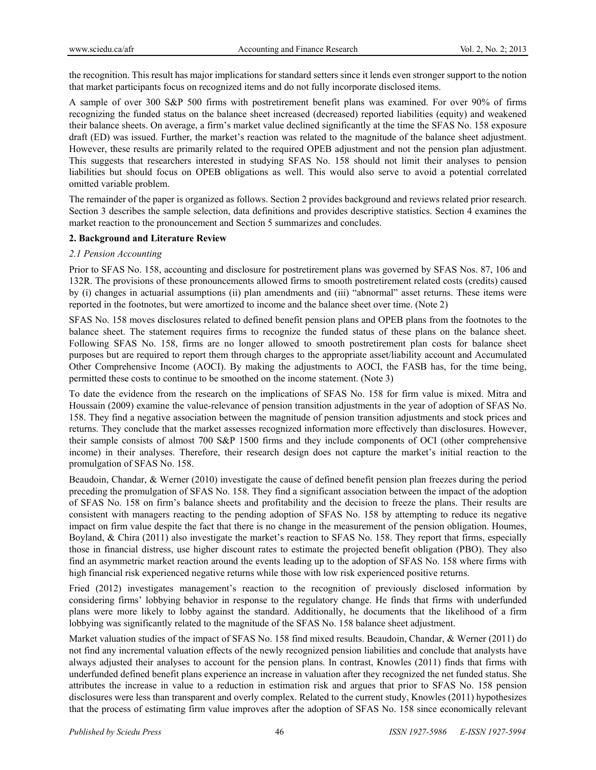the recognition. This result has major implications for standard setters since it lends even stronger support to the notion that market participants focus on recognized items and do not fully incorporate disclosed items.

A sample of over 300 S&P 500 firms with postretirement benefit plans was examined. For over 90% of firms recognizing the funded status on the balance sheet increased (decreased) reported liabilities (equity) and weakened their balance sheets. On average, a firm's market value declined significantly at the time the SFAS No. 158 exposure draft (ED) was issued. Further, the market's reaction was related to the magnitude of the balance sheet adjustment. However, these results are primarily related to the required OPEB adjustment and not the pension plan adjustment. This suggests that researchers interested in studying SFAS No. 158 should not limit their analyses to pension liabilities but should focus on OPEB obligations as well. This would also serve to avoid a potential correlated omitted variable problem.

The remainder of the paper is organized as follows. Section 2 provides background and reviews related prior research. Section 3 describes the sample selection, data definitions and provides descriptive statistics. Section 4 examines the market reaction to the pronouncement and Section 5 summarizes and concludes.

## **2. Background and Literature Review**

## *2.1 Pension Accounting*

Prior to SFAS No. 158, accounting and disclosure for postretirement plans was governed by SFAS Nos. 87, 106 and 132R. The provisions of these pronouncements allowed firms to smooth postretirement related costs (credits) caused by (i) changes in actuarial assumptions (ii) plan amendments and (iii) "abnormal" asset returns. These items were reported in the footnotes, but were amortized to income and the balance sheet over time. (Note 2)

SFAS No. 158 moves disclosures related to defined benefit pension plans and OPEB plans from the footnotes to the balance sheet. The statement requires firms to recognize the funded status of these plans on the balance sheet. Following SFAS No. 158, firms are no longer allowed to smooth postretirement plan costs for balance sheet purposes but are required to report them through charges to the appropriate asset/liability account and Accumulated Other Comprehensive Income (AOCI). By making the adjustments to AOCI, the FASB has, for the time being, permitted these costs to continue to be smoothed on the income statement. (Note 3)

To date the evidence from the research on the implications of SFAS No. 158 for firm value is mixed. Mitra and Houssain (2009) examine the value-relevance of pension transition adjustments in the year of adoption of SFAS No. 158. They find a negative association between the magnitude of pension transition adjustments and stock prices and returns. They conclude that the market assesses recognized information more effectively than disclosures. However, their sample consists of almost 700 S&P 1500 firms and they include components of OCI (other comprehensive income) in their analyses. Therefore, their research design does not capture the market's initial reaction to the promulgation of SFAS No. 158.

Beaudoin, Chandar, & Werner (2010) investigate the cause of defined benefit pension plan freezes during the period preceding the promulgation of SFAS No. 158. They find a significant association between the impact of the adoption of SFAS No. 158 on firm's balance sheets and profitability and the decision to freeze the plans. Their results are consistent with managers reacting to the pending adoption of SFAS No. 158 by attempting to reduce its negative impact on firm value despite the fact that there is no change in the measurement of the pension obligation. Houmes, Boyland, & Chira (2011) also investigate the market's reaction to SFAS No. 158. They report that firms, especially those in financial distress, use higher discount rates to estimate the projected benefit obligation (PBO). They also find an asymmetric market reaction around the events leading up to the adoption of SFAS No. 158 where firms with high financial risk experienced negative returns while those with low risk experienced positive returns.

Fried (2012) investigates management's reaction to the recognition of previously disclosed information by considering firms' lobbying behavior in response to the regulatory change. He finds that firms with underfunded plans were more likely to lobby against the standard. Additionally, he documents that the likelihood of a firm lobbying was significantly related to the magnitude of the SFAS No. 158 balance sheet adjustment.

Market valuation studies of the impact of SFAS No. 158 find mixed results. Beaudoin, Chandar, & Werner (2011) do not find any incremental valuation effects of the newly recognized pension liabilities and conclude that analysts have always adjusted their analyses to account for the pension plans. In contrast, Knowles (2011) finds that firms with underfunded defined benefit plans experience an increase in valuation after they recognized the net funded status. She attributes the increase in value to a reduction in estimation risk and argues that prior to SFAS No. 158 pension disclosures were less than transparent and overly complex. Related to the current study, Knowles (2011) hypothesizes that the process of estimating firm value improves after the adoption of SFAS No. 158 since economically relevant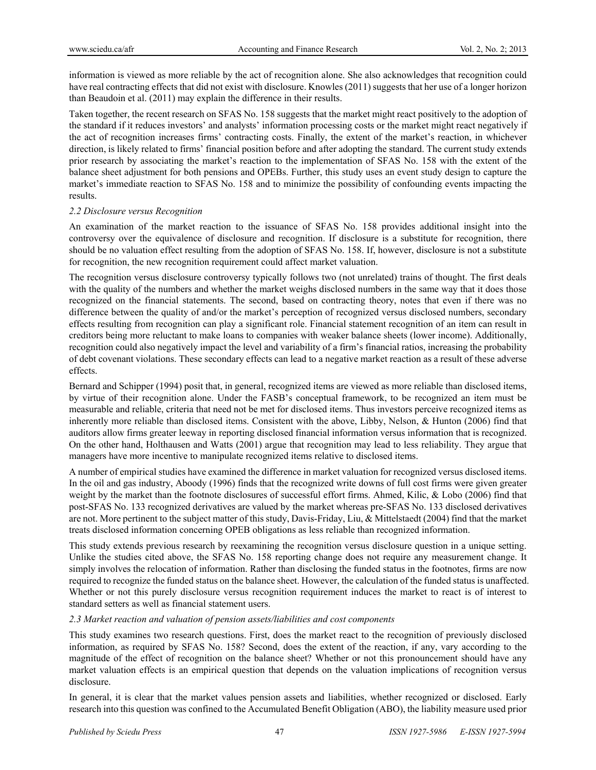information is viewed as more reliable by the act of recognition alone. She also acknowledges that recognition could have real contracting effects that did not exist with disclosure. Knowles (2011) suggests that her use of a longer horizon than Beaudoin et al. (2011) may explain the difference in their results.

Taken together, the recent research on SFAS No. 158 suggests that the market might react positively to the adoption of the standard if it reduces investors' and analysts' information processing costs or the market might react negatively if the act of recognition increases firms' contracting costs. Finally, the extent of the market's reaction, in whichever direction, is likely related to firms' financial position before and after adopting the standard. The current study extends prior research by associating the market's reaction to the implementation of SFAS No. 158 with the extent of the balance sheet adjustment for both pensions and OPEBs. Further, this study uses an event study design to capture the market's immediate reaction to SFAS No. 158 and to minimize the possibility of confounding events impacting the results.

## *2.2 Disclosure versus Recognition*

An examination of the market reaction to the issuance of SFAS No. 158 provides additional insight into the controversy over the equivalence of disclosure and recognition. If disclosure is a substitute for recognition, there should be no valuation effect resulting from the adoption of SFAS No. 158. If, however, disclosure is not a substitute for recognition, the new recognition requirement could affect market valuation.

The recognition versus disclosure controversy typically follows two (not unrelated) trains of thought. The first deals with the quality of the numbers and whether the market weighs disclosed numbers in the same way that it does those recognized on the financial statements. The second, based on contracting theory, notes that even if there was no difference between the quality of and/or the market's perception of recognized versus disclosed numbers, secondary effects resulting from recognition can play a significant role. Financial statement recognition of an item can result in creditors being more reluctant to make loans to companies with weaker balance sheets (lower income). Additionally, recognition could also negatively impact the level and variability of a firm's financial ratios, increasing the probability of debt covenant violations. These secondary effects can lead to a negative market reaction as a result of these adverse effects.

Bernard and Schipper (1994) posit that, in general, recognized items are viewed as more reliable than disclosed items, by virtue of their recognition alone. Under the FASB's conceptual framework, to be recognized an item must be measurable and reliable, criteria that need not be met for disclosed items. Thus investors perceive recognized items as inherently more reliable than disclosed items. Consistent with the above, Libby, Nelson, & Hunton (2006) find that auditors allow firms greater leeway in reporting disclosed financial information versus information that is recognized. On the other hand, Holthausen and Watts (2001) argue that recognition may lead to less reliability. They argue that managers have more incentive to manipulate recognized items relative to disclosed items.

A number of empirical studies have examined the difference in market valuation for recognized versus disclosed items. In the oil and gas industry, Aboody (1996) finds that the recognized write downs of full cost firms were given greater weight by the market than the footnote disclosures of successful effort firms. Ahmed, Kilic, & Lobo (2006) find that post-SFAS No. 133 recognized derivatives are valued by the market whereas pre-SFAS No. 133 disclosed derivatives are not. More pertinent to the subject matter of this study, Davis-Friday, Liu, & Mittelstaedt (2004) find that the market treats disclosed information concerning OPEB obligations as less reliable than recognized information.

This study extends previous research by reexamining the recognition versus disclosure question in a unique setting. Unlike the studies cited above, the SFAS No. 158 reporting change does not require any measurement change. It simply involves the relocation of information. Rather than disclosing the funded status in the footnotes, firms are now required to recognize the funded status on the balance sheet. However, the calculation of the funded status is unaffected. Whether or not this purely disclosure versus recognition requirement induces the market to react is of interest to standard setters as well as financial statement users.

## *2.3 Market reaction and valuation of pension assets/liabilities and cost components*

This study examines two research questions. First, does the market react to the recognition of previously disclosed information, as required by SFAS No. 158? Second, does the extent of the reaction, if any, vary according to the magnitude of the effect of recognition on the balance sheet? Whether or not this pronouncement should have any market valuation effects is an empirical question that depends on the valuation implications of recognition versus disclosure.

In general, it is clear that the market values pension assets and liabilities, whether recognized or disclosed. Early research into this question was confined to the Accumulated Benefit Obligation (ABO), the liability measure used prior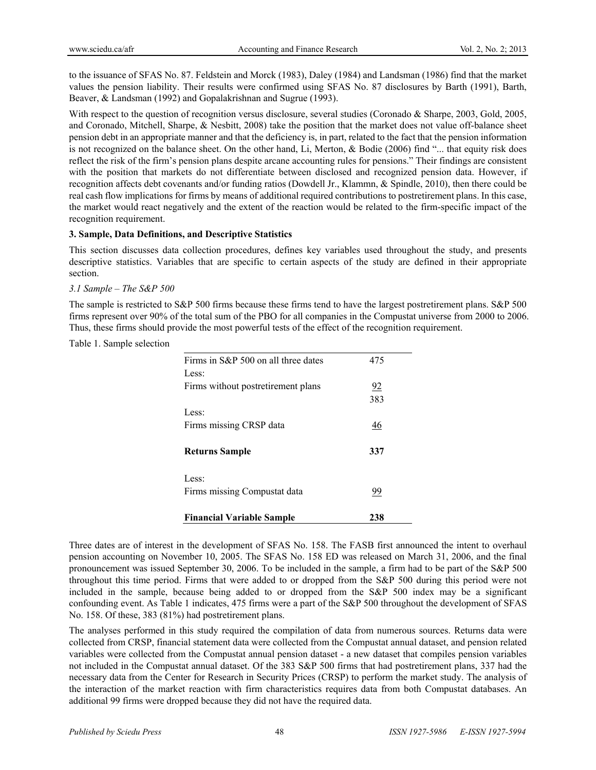to the issuance of SFAS No. 87. Feldstein and Morck (1983), Daley (1984) and Landsman (1986) find that the market values the pension liability. Their results were confirmed using SFAS No. 87 disclosures by Barth (1991), Barth, Beaver, & Landsman (1992) and Gopalakrishnan and Sugrue (1993).

With respect to the question of recognition versus disclosure, several studies (Coronado & Sharpe, 2003, Gold, 2005, and Coronado, Mitchell, Sharpe, & Nesbitt, 2008) take the position that the market does not value off-balance sheet pension debt in an appropriate manner and that the deficiency is, in part, related to the fact that the pension information is not recognized on the balance sheet. On the other hand, Li, Merton, & Bodie (2006) find "... that equity risk does reflect the risk of the firm's pension plans despite arcane accounting rules for pensions." Their findings are consistent with the position that markets do not differentiate between disclosed and recognized pension data. However, if recognition affects debt covenants and/or funding ratios (Dowdell Jr., Klammn, & Spindle, 2010), then there could be real cash flow implications for firms by means of additional required contributions to postretirement plans. In this case, the market would react negatively and the extent of the reaction would be related to the firm-specific impact of the recognition requirement.

## **3. Sample, Data Definitions, and Descriptive Statistics**

This section discusses data collection procedures, defines key variables used throughout the study, and presents descriptive statistics. Variables that are specific to certain aspects of the study are defined in their appropriate section.

#### *3.1 Sample – The S&P 500*

The sample is restricted to S&P 500 firms because these firms tend to have the largest postretirement plans. S&P 500 firms represent over 90% of the total sum of the PBO for all companies in the Compustat universe from 2000 to 2006. Thus, these firms should provide the most powerful tests of the effect of the recognition requirement.

Table 1. Sample selection

| Firms in S&P 500 on all three dates | 475       |
|-------------------------------------|-----------|
| Less:                               |           |
| Firms without postretirement plans  | <u>92</u> |
|                                     | 383       |
| Less:                               |           |
| Firms missing CRSP data             | <u>46</u> |
|                                     |           |
| <b>Returns Sample</b>               | 337       |
| Less:                               |           |
| Firms missing Compustat data        | 99        |
|                                     |           |
| <b>Financial Variable Sample</b>    | 238       |

Three dates are of interest in the development of SFAS No. 158. The FASB first announced the intent to overhaul pension accounting on November 10, 2005. The SFAS No. 158 ED was released on March 31, 2006, and the final pronouncement was issued September 30, 2006. To be included in the sample, a firm had to be part of the S&P 500 throughout this time period. Firms that were added to or dropped from the S&P 500 during this period were not included in the sample, because being added to or dropped from the S&P 500 index may be a significant confounding event. As Table 1 indicates, 475 firms were a part of the S&P 500 throughout the development of SFAS No. 158. Of these, 383 (81%) had postretirement plans.

The analyses performed in this study required the compilation of data from numerous sources. Returns data were collected from CRSP, financial statement data were collected from the Compustat annual dataset, and pension related variables were collected from the Compustat annual pension dataset - a new dataset that compiles pension variables not included in the Compustat annual dataset. Of the 383 S&P 500 firms that had postretirement plans, 337 had the necessary data from the Center for Research in Security Prices (CRSP) to perform the market study. The analysis of the interaction of the market reaction with firm characteristics requires data from both Compustat databases. An additional 99 firms were dropped because they did not have the required data.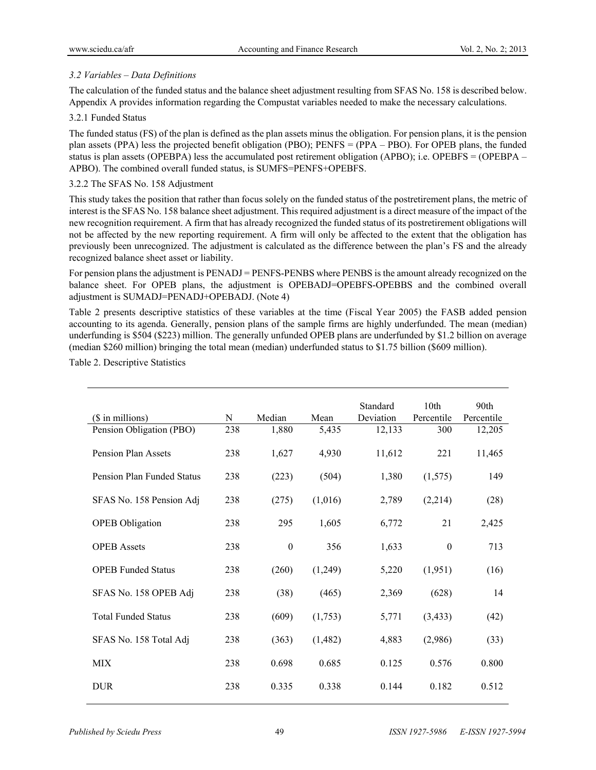## *3.2 Variables – Data Definitions*

The calculation of the funded status and the balance sheet adjustment resulting from SFAS No. 158 is described below. Appendix A provides information regarding the Compustat variables needed to make the necessary calculations.

## 3.2.1 Funded Status

The funded status (FS) of the plan is defined as the plan assets minus the obligation. For pension plans, it is the pension plan assets (PPA) less the projected benefit obligation (PBO); PENFS = (PPA – PBO). For OPEB plans, the funded status is plan assets (OPEBPA) less the accumulated post retirement obligation (APBO); i.e. OPEBFS = (OPEBPA – APBO). The combined overall funded status, is SUMFS=PENFS+OPEBFS.

## 3.2.2 The SFAS No. 158 Adjustment

This study takes the position that rather than focus solely on the funded status of the postretirement plans, the metric of interest is the SFAS No. 158 balance sheet adjustment. This required adjustment is a direct measure of the impact of the new recognition requirement. A firm that has already recognized the funded status of its postretirement obligations will not be affected by the new reporting requirement. A firm will only be affected to the extent that the obligation has previously been unrecognized. The adjustment is calculated as the difference between the plan's FS and the already recognized balance sheet asset or liability.

For pension plans the adjustment is PENADJ = PENFS-PENBS where PENBS is the amount already recognized on the balance sheet. For OPEB plans, the adjustment is OPEBADJ=OPEBFS-OPEBBS and the combined overall adjustment is SUMADJ=PENADJ+OPEBADJ. (Note 4)

Table 2 presents descriptive statistics of these variables at the time (Fiscal Year 2005) the FASB added pension accounting to its agenda. Generally, pension plans of the sample firms are highly underfunded. The mean (median) underfunding is \$504 (\$223) million. The generally unfunded OPEB plans are underfunded by \$1.2 billion on average (median \$260 million) bringing the total mean (median) underfunded status to \$1.75 billion (\$609 million).

Table 2. Descriptive Statistics

|                                   |     |              |          | Standard  | 10th         | 90th       |
|-----------------------------------|-----|--------------|----------|-----------|--------------|------------|
| (\$ in millions)                  | N   | Median       | Mean     | Deviation | Percentile   | Percentile |
| Pension Obligation (PBO)          | 238 | 1,880        | 5,435    | 12,133    | 300          | 12,205     |
|                                   |     |              |          |           |              |            |
| Pension Plan Assets               | 238 | 1,627        | 4,930    | 11,612    | 221          | 11,465     |
|                                   |     |              |          |           |              |            |
| <b>Pension Plan Funded Status</b> | 238 | (223)        | (504)    | 1,380     | (1,575)      | 149        |
|                                   |     |              |          |           |              |            |
| SFAS No. 158 Pension Adj          | 238 | (275)        | (1,016)  | 2,789     | (2,214)      | (28)       |
|                                   |     |              |          |           |              |            |
| <b>OPEB</b> Obligation            | 238 | 295          | 1,605    | 6,772     | 21           | 2,425      |
|                                   |     |              |          |           |              |            |
| <b>OPEB</b> Assets                | 238 | $\mathbf{0}$ | 356      | 1,633     | $\mathbf{0}$ | 713        |
|                                   |     |              |          |           |              |            |
| <b>OPEB</b> Funded Status         | 238 | (260)        | (1,249)  | 5,220     | (1,951)      | (16)       |
|                                   |     |              |          |           |              |            |
| SFAS No. 158 OPEB Adj             | 238 | (38)         | (465)    | 2,369     | (628)        | 14         |
|                                   |     |              |          |           |              |            |
| <b>Total Funded Status</b>        | 238 |              |          |           |              |            |
|                                   |     | (609)        | (1,753)  | 5,771     | (3, 433)     | (42)       |
|                                   |     |              |          |           |              |            |
| SFAS No. 158 Total Adj            | 238 | (363)        | (1, 482) | 4,883     | (2,986)      | (33)       |
|                                   |     |              |          |           |              |            |
| <b>MIX</b>                        | 238 | 0.698        | 0.685    | 0.125     | 0.576        | 0.800      |
|                                   |     |              |          |           |              |            |
| <b>DUR</b>                        | 238 | 0.335        | 0.338    | 0.144     | 0.182        | 0.512      |
|                                   |     |              |          |           |              |            |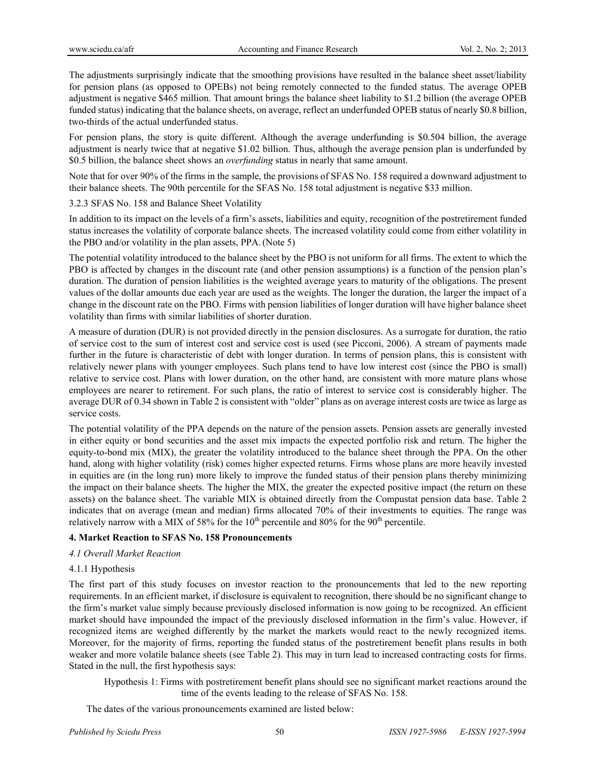The adjustments surprisingly indicate that the smoothing provisions have resulted in the balance sheet asset/liability for pension plans (as opposed to OPEBs) not being remotely connected to the funded status. The average OPEB adjustment is negative \$465 million. That amount brings the balance sheet liability to \$1.2 billion (the average OPEB funded status) indicating that the balance sheets, on average, reflect an underfunded OPEB status of nearly \$0.8 billion, two-thirds of the actual underfunded status.

For pension plans, the story is quite different. Although the average underfunding is \$0.504 billion, the average adjustment is nearly twice that at negative \$1.02 billion. Thus, although the average pension plan is underfunded by \$0.5 billion, the balance sheet shows an *overfunding* status in nearly that same amount.

Note that for over 90% of the firms in the sample, the provisions of SFAS No. 158 required a downward adjustment to their balance sheets. The 90th percentile for the SFAS No. 158 total adjustment is negative \$33 million.

## 3.2.3 SFAS No. 158 and Balance Sheet Volatility

In addition to its impact on the levels of a firm's assets, liabilities and equity, recognition of the postretirement funded status increases the volatility of corporate balance sheets. The increased volatility could come from either volatility in the PBO and/or volatility in the plan assets, PPA.(Note 5)

The potential volatility introduced to the balance sheet by the PBO is not uniform for all firms. The extent to which the PBO is affected by changes in the discount rate (and other pension assumptions) is a function of the pension plan's duration. The duration of pension liabilities is the weighted average years to maturity of the obligations. The present values of the dollar amounts due each year are used as the weights. The longer the duration, the larger the impact of a change in the discount rate on the PBO. Firms with pension liabilities of longer duration will have higher balance sheet volatility than firms with similar liabilities of shorter duration.

A measure of duration (DUR) is not provided directly in the pension disclosures. As a surrogate for duration, the ratio of service cost to the sum of interest cost and service cost is used (see Picconi, 2006). A stream of payments made further in the future is characteristic of debt with longer duration. In terms of pension plans, this is consistent with relatively newer plans with younger employees. Such plans tend to have low interest cost (since the PBO is small) relative to service cost. Plans with lower duration, on the other hand, are consistent with more mature plans whose employees are nearer to retirement. For such plans, the ratio of interest to service cost is considerably higher. The average DUR of 0.34 shown in Table 2 is consistent with "older" plans as on average interest costs are twice as large as service costs.

The potential volatility of the PPA depends on the nature of the pension assets. Pension assets are generally invested in either equity or bond securities and the asset mix impacts the expected portfolio risk and return. The higher the equity-to-bond mix (MIX), the greater the volatility introduced to the balance sheet through the PPA. On the other hand, along with higher volatility (risk) comes higher expected returns. Firms whose plans are more heavily invested in equities are (in the long run) more likely to improve the funded status of their pension plans thereby minimizing the impact on their balance sheets. The higher the MIX, the greater the expected positive impact (the return on these assets) on the balance sheet. The variable MIX is obtained directly from the Compustat pension data base. Table 2 indicates that on average (mean and median) firms allocated 70% of their investments to equities. The range was relatively narrow with a MIX of 58% for the  $10<sup>th</sup>$  percentile and 80% for the 90<sup>th</sup> percentile.

## **4. Market Reaction to SFAS No. 158 Pronouncements**

## *4.1 Overall Market Reaction*

## 4.1.1 Hypothesis

The first part of this study focuses on investor reaction to the pronouncements that led to the new reporting requirements. In an efficient market, if disclosure is equivalent to recognition, there should be no significant change to the firm's market value simply because previously disclosed information is now going to be recognized. An efficient market should have impounded the impact of the previously disclosed information in the firm's value. However, if recognized items are weighed differently by the market the markets would react to the newly recognized items. Moreover, for the majority of firms, reporting the funded status of the postretirement benefit plans results in both weaker and more volatile balance sheets (see Table 2). This may in turn lead to increased contracting costs for firms. Stated in the null, the first hypothesis says:

Hypothesis 1: Firms with postretirement benefit plans should see no significant market reactions around the time of the events leading to the release of SFAS No. 158.

The dates of the various pronouncements examined are listed below: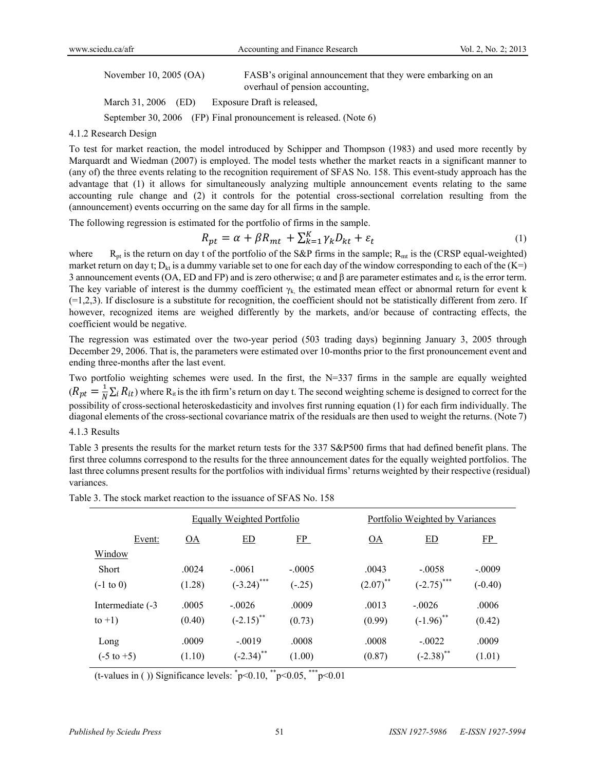| November 10, 2005 (OA) | FASB's original announcement that they were embarking on an<br>overhaul of pension accounting. |
|------------------------|------------------------------------------------------------------------------------------------|
| March 31, 2006 (ED)    | Exposure Draft is released.                                                                    |
|                        | September 30, 2006 (FP) Final pronouncement is released. (Note 6)                              |

4.1.2 Research Design

To test for market reaction, the model introduced by Schipper and Thompson (1983) and used more recently by Marquardt and Wiedman (2007) is employed. The model tests whether the market reacts in a significant manner to (any of) the three events relating to the recognition requirement of SFAS No. 158. This event-study approach has the advantage that (1) it allows for simultaneously analyzing multiple announcement events relating to the same accounting rule change and (2) it controls for the potential cross-sectional correlation resulting from the (announcement) events occurring on the same day for all firms in the sample.

The following regression is estimated for the portfolio of firms in the sample.

$$
R_{pt} = \alpha + \beta R_{mt} + \sum_{k=1}^{K} \gamma_k D_{kt} + \varepsilon_t \tag{1}
$$

where  $R_{pt}$  is the return on day t of the portfolio of the S&P firms in the sample;  $R_{mt}$  is the (CRSP equal-weighted) market return on day t;  $D_{kt}$  is a dummy variable set to one for each day of the window corresponding to each of the (K=) 3 announcement events (OA, ED and FP) and is zero otherwise;  $\alpha$  and  $\beta$  are parameter estimates and  $\epsilon_t$  is the error term. The key variable of interest is the dummy coefficient  $\gamma_k$ , the estimated mean effect or abnormal return for event k (=1,2,3). If disclosure is a substitute for recognition, the coefficient should not be statistically different from zero. If however, recognized items are weighed differently by the markets, and/or because of contracting effects, the coefficient would be negative.

The regression was estimated over the two-year period (503 trading days) beginning January 3, 2005 through December 29, 2006. That is, the parameters were estimated over 10-months prior to the first pronouncement event and ending three-months after the last event.

Two portfolio weighting schemes were used. In the first, the N=337 firms in the sample are equally weighted  $(R_{pt} = \frac{1}{N} \sum_i R_{it})$  where  $R_{it}$  is the ith firm's return on day t. The second weighting scheme is designed to correct for the possibility of cross-sectional heteroskedasticity and involves first running equation (1) for each firm individually. The diagonal elements of the cross-sectional covariance matrix of the residuals are then used to weight the returns. (Note 7)

#### 4.1.3 Results

Table 3 presents the results for the market return tests for the 337 S&P500 firms that had defined benefit plans. The first three columns correspond to the results for the three announcement dates for the equally weighted portfolios. The last three columns present results for the portfolios with individual firms' returns weighted by their respective (residual) variances.

| Table 3. The stock market reaction to the issuance of SFAS No. 158 |  |  |
|--------------------------------------------------------------------|--|--|
|--------------------------------------------------------------------|--|--|

|                       | Equally Weighted Portfolio |                         |          | Portfolio Weighted by Variances |                         |           |
|-----------------------|----------------------------|-------------------------|----------|---------------------------------|-------------------------|-----------|
| Event:                | $\overline{OA}$            | ED                      | FP       | $\overline{OA}$                 | ED                      | FP        |
| Window                |                            |                         |          |                                 |                         |           |
| <b>Short</b>          | .0024                      | $-.0061$                | $-.0005$ | .0043                           | $-.0058$                | $-.0009$  |
| $(-1 \text{ to } 0)$  | (1.28)                     | $(-3.24)$ ***           | $(-.25)$ | $(2.07)$ **                     | $(-2.75)$ ***           | $(-0.40)$ |
| Intermediate (-3)     | .0005                      | $-0.026$                | .0009    | .0013                           | $-.0026$                | .0006     |
| to $+1$ )             | (0.40)                     | $(-2.15)$ <sup>**</sup> | (0.73)   | (0.99)                          | $(-1.96)$ <sup>**</sup> | (0.42)    |
| Long                  | .0009                      | $-.0019$                | .0008    | .0008                           | $-.0022$                | .0009     |
| $(-5 \text{ to } +5)$ | (1.10)                     | $(-2.34)$ **            | (1.00)   | (0.87)                          | $(-2.38)$ **            | (1.01)    |

(t-values in ( )) Significance levels:  $\bar{p}$  < 0.10,  $\bar{p}$  < 0.05,  $\bar{p}$  +  $\bar{p}$  < 0.01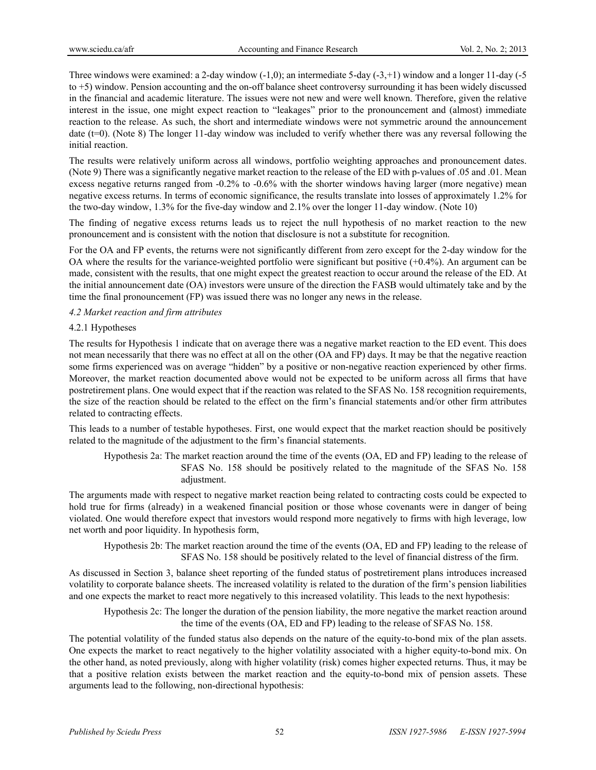Three windows were examined: a 2-day window  $(-1,0)$ ; an intermediate 5-day  $(-3, +1)$  window and a longer 11-day  $(-5, 5)$ to +5) window. Pension accounting and the on-off balance sheet controversy surrounding it has been widely discussed in the financial and academic literature. The issues were not new and were well known. Therefore, given the relative interest in the issue, one might expect reaction to "leakages" prior to the pronouncement and (almost) immediate reaction to the release. As such, the short and intermediate windows were not symmetric around the announcement date  $(t=0)$ . (Note 8) The longer 11-day window was included to verify whether there was any reversal following the initial reaction.

The results were relatively uniform across all windows, portfolio weighting approaches and pronouncement dates. (Note 9) There was a significantly negative market reaction to the release of the ED with p-values of .05 and .01. Mean excess negative returns ranged from -0.2% to -0.6% with the shorter windows having larger (more negative) mean negative excess returns. In terms of economic significance, the results translate into losses of approximately 1.2% for the two-day window, 1.3% for the five-day window and 2.1% over the longer 11-day window. (Note 10)

The finding of negative excess returns leads us to reject the null hypothesis of no market reaction to the new pronouncement and is consistent with the notion that disclosure is not a substitute for recognition.

For the OA and FP events, the returns were not significantly different from zero except for the 2-day window for the OA where the results for the variance-weighted portfolio were significant but positive (+0.4%). An argument can be made, consistent with the results, that one might expect the greatest reaction to occur around the release of the ED. At the initial announcement date (OA) investors were unsure of the direction the FASB would ultimately take and by the time the final pronouncement (FP) was issued there was no longer any news in the release.

#### *4.2 Market reaction and firm attributes*

#### 4.2.1 Hypotheses

The results for Hypothesis 1 indicate that on average there was a negative market reaction to the ED event. This does not mean necessarily that there was no effect at all on the other (OA and FP) days. It may be that the negative reaction some firms experienced was on average "hidden" by a positive or non-negative reaction experienced by other firms. Moreover, the market reaction documented above would not be expected to be uniform across all firms that have postretirement plans. One would expect that if the reaction was related to the SFAS No. 158 recognition requirements, the size of the reaction should be related to the effect on the firm's financial statements and/or other firm attributes related to contracting effects.

This leads to a number of testable hypotheses. First, one would expect that the market reaction should be positively related to the magnitude of the adjustment to the firm's financial statements.

Hypothesis 2a: The market reaction around the time of the events (OA, ED and FP) leading to the release of SFAS No. 158 should be positively related to the magnitude of the SFAS No. 158 adjustment.

The arguments made with respect to negative market reaction being related to contracting costs could be expected to hold true for firms (already) in a weakened financial position or those whose covenants were in danger of being violated. One would therefore expect that investors would respond more negatively to firms with high leverage, low net worth and poor liquidity. In hypothesis form,

Hypothesis 2b: The market reaction around the time of the events (OA, ED and FP) leading to the release of SFAS No. 158 should be positively related to the level of financial distress of the firm.

As discussed in Section 3, balance sheet reporting of the funded status of postretirement plans introduces increased volatility to corporate balance sheets. The increased volatility is related to the duration of the firm's pension liabilities and one expects the market to react more negatively to this increased volatility. This leads to the next hypothesis:

Hypothesis 2c: The longer the duration of the pension liability, the more negative the market reaction around the time of the events (OA, ED and FP) leading to the release of SFAS No. 158.

The potential volatility of the funded status also depends on the nature of the equity-to-bond mix of the plan assets. One expects the market to react negatively to the higher volatility associated with a higher equity-to-bond mix. On the other hand, as noted previously, along with higher volatility (risk) comes higher expected returns. Thus, it may be that a positive relation exists between the market reaction and the equity-to-bond mix of pension assets. These arguments lead to the following, non-directional hypothesis: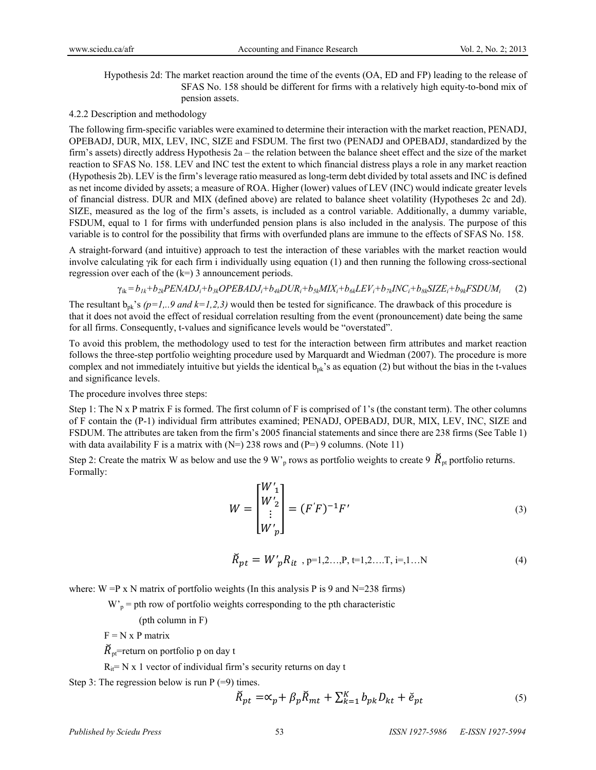## Hypothesis 2d: The market reaction around the time of the events (OA, ED and FP) leading to the release of SFAS No. 158 should be different for firms with a relatively high equity-to-bond mix of pension assets.

#### 4.2.2 Description and methodology

The following firm-specific variables were examined to determine their interaction with the market reaction, PENADJ, OPEBADJ, DUR, MIX, LEV, INC, SIZE and FSDUM. The first two (PENADJ and OPEBADJ, standardized by the firm's assets) directly address Hypothesis 2a – the relation between the balance sheet effect and the size of the market reaction to SFAS No. 158. LEV and INC test the extent to which financial distress plays a role in any market reaction (Hypothesis 2b). LEV is the firm's leverage ratio measured as long-term debt divided by total assets and INC is defined as net income divided by assets; a measure of ROA. Higher (lower) values of LEV (INC) would indicate greater levels of financial distress. DUR and MIX (defined above) are related to balance sheet volatility (Hypotheses 2c and 2d). SIZE, measured as the log of the firm's assets, is included as a control variable. Additionally, a dummy variable, FSDUM, equal to 1 for firms with underfunded pension plans is also included in the analysis. The purpose of this variable is to control for the possibility that firms with overfunded plans are immune to the effects of SFAS No. 158.

A straight-forward (and intuitive) approach to test the interaction of these variables with the market reaction would involve calculating γik for each firm i individually using equation (1) and then running the following cross-sectional regression over each of the (k=) 3 announcement periods.

$$
\gamma_{ik} = b_{1k} + b_{2k} P ENADJ_i + b_{3k} OPEBADJ_i + b_{4k} DUR_i + b_{5k} MLX_i + b_{6k} LEV_i + b_{7k} INC_i + b_{8k} SIZE_i + b_{9k} FSDUM_i
$$
 (2)

The resultant  $b_{pk}$ 's ( $p=1,..9$  and  $k=1,2,3$ ) would then be tested for significance. The drawback of this procedure is that it does not avoid the effect of residual correlation resulting from the event (pronouncement) date being the same for all firms. Consequently, t-values and significance levels would be "overstated".

To avoid this problem, the methodology used to test for the interaction between firm attributes and market reaction follows the three-step portfolio weighting procedure used by Marquardt and Wiedman (2007). The procedure is more complex and not immediately intuitive but yields the identical  $b_{pk}$ 's as equation (2) but without the bias in the t-values and significance levels.

The procedure involves three steps:

Step 1: The N x P matrix F is formed. The first column of F is comprised of 1's (the constant term). The other columns of F contain the (P-1) individual firm attributes examined; PENADJ, OPEBADJ, DUR, MIX, LEV, INC, SIZE and FSDUM. The attributes are taken from the firm's 2005 financial statements and since there are 238 firms (See Table 1) with data availability F is a matrix with  $(N=)$  238 rows and  $(P=)$  9 columns. (Note 11)

Step 2: Create the matrix W as below and use the 9 W'<sub>p</sub> rows as portfolio weights to create 9  $\vec{R}_{pt}$  portfolio returns. Formally:

$$
W = \begin{bmatrix} W'_{1} \\ W'_{2} \\ \vdots \\ W'_{p} \end{bmatrix} = (F'F)^{-1}F'
$$
 (3)

$$
\breve{R}_{pt} = W'_{p} R_{it}, \, \text{p=1,2...}, \text{p, t=1,2...}, \, \text{i=,1...}
$$
\n<sup>(4)</sup>

where:  $W = P x N$  matrix of portfolio weights (In this analysis P is 9 and N=238 firms)

 $W_p$  = pth row of portfolio weights corresponding to the pth characteristic

(pth column in F)

 $F = N x P$  matrix

 $\bar{R}_{pt}$ =return on portfolio p on day t

 $R_{it}$ = N x 1 vector of individual firm's security returns on day t

Step 3: The regression below is run  $P$  (=9) times.

$$
\breve{R}_{pt} = \propto_p + \beta_p \breve{R}_{mt} + \sum_{k=1}^{K} b_{pk} D_{kt} + \breve{e}_{pt} \tag{5}
$$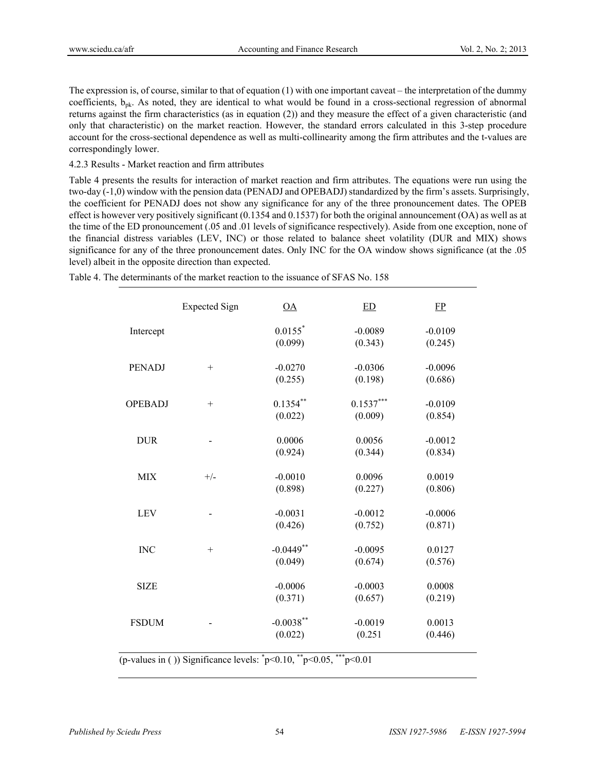The expression is, of course, similar to that of equation (1) with one important caveat – the interpretation of the dummy coefficients,  $b_{pk}$ . As noted, they are identical to what would be found in a cross-sectional regression of abnormal returns against the firm characteristics (as in equation (2)) and they measure the effect of a given characteristic (and only that characteristic) on the market reaction. However, the standard errors calculated in this 3-step procedure account for the cross-sectional dependence as well as multi-collinearity among the firm attributes and the t-values are correspondingly lower.

#### 4.2.3 Results - Market reaction and firm attributes

Table 4 presents the results for interaction of market reaction and firm attributes. The equations were run using the two-day (-1,0) window with the pension data (PENADJ and OPEBADJ) standardized by the firm's assets. Surprisingly, the coefficient for PENADJ does not show any significance for any of the three pronouncement dates. The OPEB effect is however very positively significant (0.1354 and 0.1537) for both the original announcement (OA) as well as at the time of the ED pronouncement (.05 and .01 levels of significance respectively). Aside from one exception, none of the financial distress variables (LEV, INC) or those related to balance sheet volatility (DUR and MIX) shows significance for any of the three pronouncement dates. Only INC for the OA window shows significance (at the .05 level) albeit in the opposite direction than expected.

|                | <b>Expected Sign</b>                                                                       | $\underline{OA}$      | ED          | FP        |
|----------------|--------------------------------------------------------------------------------------------|-----------------------|-------------|-----------|
| Intercept      |                                                                                            | $0.0155$ <sup>*</sup> | $-0.0089$   | $-0.0109$ |
|                |                                                                                            | (0.099)               | (0.343)     | (0.245)   |
| <b>PENADJ</b>  |                                                                                            | $-0.0270$             | $-0.0306$   | $-0.0096$ |
|                |                                                                                            | (0.255)               | (0.198)     | (0.686)   |
| <b>OPEBADJ</b> | $+$                                                                                        | $0.1354$ **           | $0.1537***$ | $-0.0109$ |
|                |                                                                                            | (0.022)               | (0.009)     | (0.854)   |
| <b>DUR</b>     | $\blacksquare$                                                                             | 0.0006                | 0.0056      | $-0.0012$ |
|                |                                                                                            | (0.924)               | (0.344)     | (0.834)   |
| <b>MIX</b>     | $+/-$                                                                                      | $-0.0010$             | 0.0096      | 0.0019    |
|                |                                                                                            | (0.898)               | (0.227)     | (0.806)   |
| <b>LEV</b>     |                                                                                            | $-0.0031$             | $-0.0012$   | $-0.0006$ |
|                |                                                                                            | (0.426)               | (0.752)     | (0.871)   |
| <b>INC</b>     |                                                                                            | $-0.0449**$           | $-0.0095$   | 0.0127    |
|                |                                                                                            | (0.049)               | (0.674)     | (0.576)   |
| <b>SIZE</b>    |                                                                                            | $-0.0006$             | $-0.0003$   | 0.0008    |
|                |                                                                                            | (0.371)               | (0.657)     | (0.219)   |
| <b>FSDUM</b>   |                                                                                            | $-0.0038$ **          | $-0.0019$   | 0.0013    |
|                |                                                                                            | (0.022)               | (0.251)     | (0.446)   |
|                | (p-values in ()) Significance levels: $\bar{p}$ < 0.10, $\bar{p}$ < 0.05, $\bar{p}$ = 0.01 |                       |             |           |

Table 4. The determinants of the market reaction to the issuance of SFAS No. 158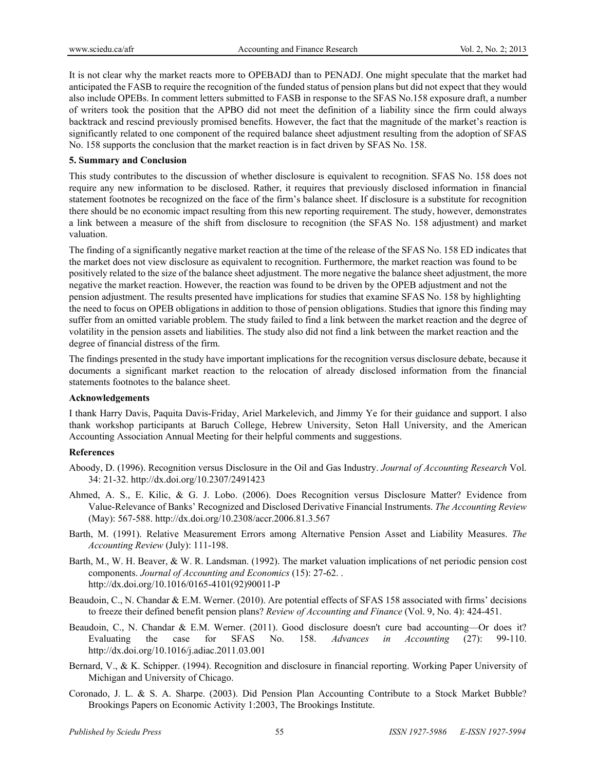It is not clear why the market reacts more to OPEBADJ than to PENADJ. One might speculate that the market had anticipated the FASB to require the recognition of the funded status of pension plans but did not expect that they would also include OPEBs. In comment letters submitted to FASB in response to the SFAS No.158 exposure draft, a number of writers took the position that the APBO did not meet the definition of a liability since the firm could always backtrack and rescind previously promised benefits. However, the fact that the magnitude of the market's reaction is significantly related to one component of the required balance sheet adjustment resulting from the adoption of SFAS No. 158 supports the conclusion that the market reaction is in fact driven by SFAS No. 158.

#### **5. Summary and Conclusion**

This study contributes to the discussion of whether disclosure is equivalent to recognition. SFAS No. 158 does not require any new information to be disclosed. Rather, it requires that previously disclosed information in financial statement footnotes be recognized on the face of the firm's balance sheet. If disclosure is a substitute for recognition there should be no economic impact resulting from this new reporting requirement. The study, however, demonstrates a link between a measure of the shift from disclosure to recognition (the SFAS No. 158 adjustment) and market valuation.

The finding of a significantly negative market reaction at the time of the release of the SFAS No. 158 ED indicates that the market does not view disclosure as equivalent to recognition. Furthermore, the market reaction was found to be positively related to the size of the balance sheet adjustment. The more negative the balance sheet adjustment, the more negative the market reaction. However, the reaction was found to be driven by the OPEB adjustment and not the pension adjustment. The results presented have implications for studies that examine SFAS No. 158 by highlighting the need to focus on OPEB obligations in addition to those of pension obligations. Studies that ignore this finding may suffer from an omitted variable problem. The study failed to find a link between the market reaction and the degree of volatility in the pension assets and liabilities. The study also did not find a link between the market reaction and the degree of financial distress of the firm.

The findings presented in the study have important implications for the recognition versus disclosure debate, because it documents a significant market reaction to the relocation of already disclosed information from the financial statements footnotes to the balance sheet.

#### **Acknowledgements**

I thank Harry Davis, Paquita Davis-Friday, Ariel Markelevich, and Jimmy Ye for their guidance and support. I also thank workshop participants at Baruch College, Hebrew University, Seton Hall University, and the American Accounting Association Annual Meeting for their helpful comments and suggestions.

#### **References**

- Aboody, D. (1996). Recognition versus Disclosure in the Oil and Gas Industry. *Journal of Accounting Research* Vol. 34: 21-32. http://dx.doi.org/10.2307/2491423
- Ahmed, A. S., E. Kilic, & G. J. Lobo. (2006). Does Recognition versus Disclosure Matter? Evidence from Value-Relevance of Banks' Recognized and Disclosed Derivative Financial Instruments. *The Accounting Review* (May): 567-588. http://dx.doi.org/10.2308/accr.2006.81.3.567
- Barth, M. (1991). Relative Measurement Errors among Alternative Pension Asset and Liability Measures. *The Accounting Review* (July): 111-198.
- Barth, M., W. H. Beaver, & W. R. Landsman. (1992). The market valuation implications of net periodic pension cost components. *Journal of Accounting and Economics* (15): 27-62. . http://dx.doi.org/10.1016/0165-4101(92)90011-P
- Beaudoin, C., N. Chandar & E.M. Werner. (2010). Are potential effects of SFAS 158 associated with firms' decisions to freeze their defined benefit pension plans? *Review of Accounting and Finance* (Vol. 9, No. 4): 424-451.
- Beaudoin, C., N. Chandar & E.M. Werner. (2011). Good disclosure doesn't cure bad accounting—Or does it? Evaluating the case for SFAS No. 158. *Advances in Accounting* (27): 99-110. http://dx.doi.org/10.1016/j.adiac.2011.03.001
- Bernard, V., & K. Schipper. (1994). Recognition and disclosure in financial reporting. Working Paper University of Michigan and University of Chicago.
- Coronado, J. L. & S. A. Sharpe. (2003). Did Pension Plan Accounting Contribute to a Stock Market Bubble? Brookings Papers on Economic Activity 1:2003, The Brookings Institute.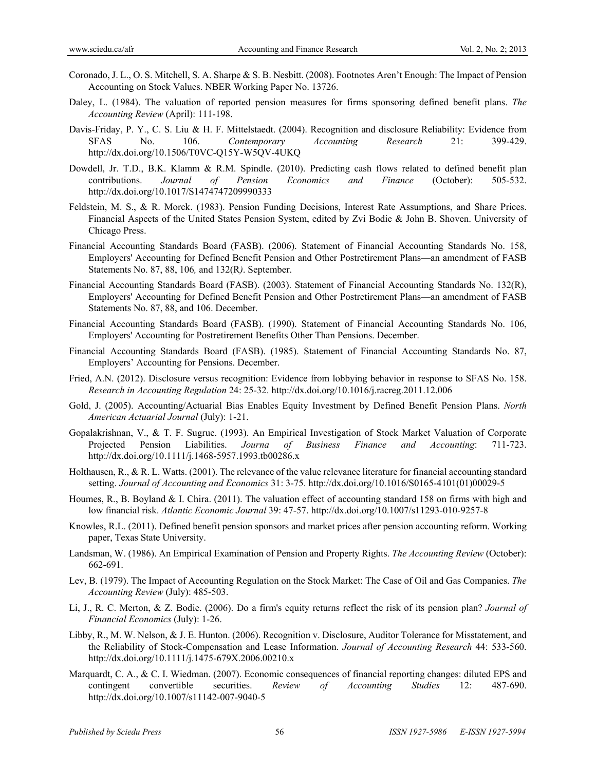- Coronado, J. L., O. S. Mitchell, S. A. Sharpe & S. B. Nesbitt. (2008). Footnotes Aren't Enough: The Impact of Pension Accounting on Stock Values. NBER Working Paper No. 13726.
- Daley, L. (1984). The valuation of reported pension measures for firms sponsoring defined benefit plans. *The Accounting Review* (April): 111-198.
- Davis-Friday, P. Y., C. S. Liu & H. F. Mittelstaedt. (2004). Recognition and disclosure Reliability: Evidence from SFAS No. 106. *Contemporary Accounting Research* 21: 399-429. http://dx.doi.org/10.1506/T0VC-Q15Y-W5QV-4UKQ
- Dowdell, Jr. T.D., B.K. Klamm & R.M. Spindle. (2010). Predicting cash flows related to defined benefit plan contributions. *Journal of Pension Economics and Finance* (October): 505-532. http://dx.doi.org/10.1017/S1474747209990333
- Feldstein, M. S., & R. Morck. (1983). Pension Funding Decisions, Interest Rate Assumptions, and Share Prices. Financial Aspects of the United States Pension System, edited by Zvi Bodie & John B. Shoven. University of Chicago Press.
- Financial Accounting Standards Board (FASB). (2006). Statement of Financial Accounting Standards No. 158, Employers' Accounting for Defined Benefit Pension and Other Postretirement Plans—an amendment of FASB Statements No. 87, 88, 106*,* and 132(R*)*. September.
- Financial Accounting Standards Board (FASB). (2003). Statement of Financial Accounting Standards No. 132(R), Employers' Accounting for Defined Benefit Pension and Other Postretirement Plans—an amendment of FASB Statements No. 87, 88, and 106. December.
- Financial Accounting Standards Board (FASB). (1990). Statement of Financial Accounting Standards No. 106, Employers' Accounting for Postretirement Benefits Other Than Pensions. December.
- Financial Accounting Standards Board (FASB). (1985). Statement of Financial Accounting Standards No. 87, Employers' Accounting for Pensions. December.
- Fried, A.N. (2012). Disclosure versus recognition: Evidence from lobbying behavior in response to SFAS No. 158. *Research in Accounting Regulation* 24: 25-32. http://dx.doi.org/10.1016/j.racreg.2011.12.006
- Gold, J. (2005). Accounting/Actuarial Bias Enables Equity Investment by Defined Benefit Pension Plans. *North American Actuarial Journal* (July): 1-21.
- Gopalakrishnan, V., & T. F. Sugrue. (1993). An Empirical Investigation of Stock Market Valuation of Corporate Projected Pension Liabilities. *Journa of Business Finance and Accounting*: 711-723. http://dx.doi.org/10.1111/j.1468-5957.1993.tb00286.x
- Holthausen, R., & R. L. Watts. (2001). The relevance of the value relevance literature for financial accounting standard setting. *Journal of Accounting and Economics* 31: 3-75. http://dx.doi.org/10.1016/S0165-4101(01)00029-5
- Houmes, R., B. Boyland & I. Chira. (2011). The valuation effect of accounting standard 158 on firms with high and low financial risk. *Atlantic Economic Journal* 39: 47-57. http://dx.doi.org/10.1007/s11293-010-9257-8
- Knowles, R.L. (2011). Defined benefit pension sponsors and market prices after pension accounting reform. Working paper, Texas State University.
- Landsman, W. (1986). An Empirical Examination of Pension and Property Rights. *The Accounting Review* (October): 662-691.
- Lev, B. (1979). The Impact of Accounting Regulation on the Stock Market: The Case of Oil and Gas Companies. *The Accounting Review* (July): 485-503.
- Li, J., R. C. Merton, & Z. Bodie. (2006). Do a firm's equity returns reflect the risk of its pension plan? *Journal of Financial Economics* (July): 1-26.
- Libby, R., M. W. Nelson, & J. E. Hunton. (2006). Recognition v. Disclosure, Auditor Tolerance for Misstatement, and the Reliability of Stock-Compensation and Lease Information. *Journal of Accounting Research* 44: 533-560. http://dx.doi.org/10.1111/j.1475-679X.2006.00210.x
- Marquardt, C. A., & C. I. Wiedman. (2007). Economic consequences of financial reporting changes: diluted EPS and contingent convertible securities. *Review of Accounting Studies* 12: 487-690. http://dx.doi.org/10.1007/s11142-007-9040-5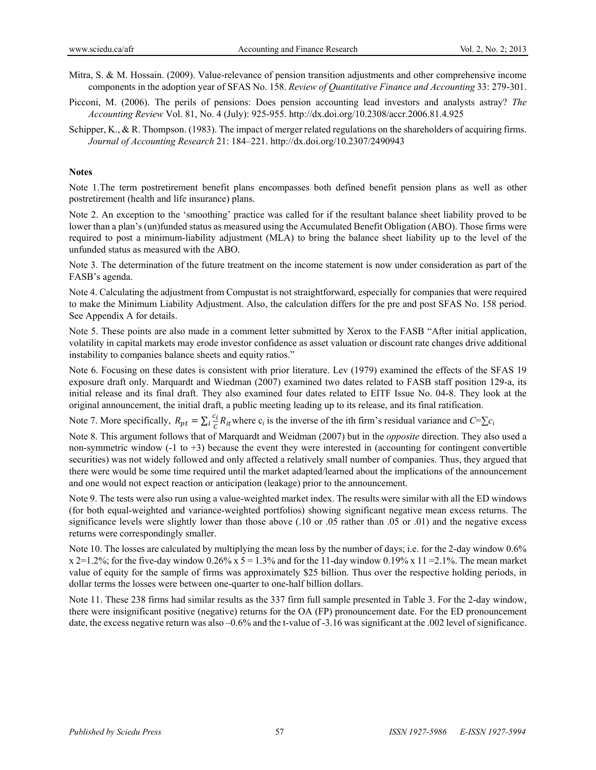- Mitra, S. & M. Hossain. (2009). Value-relevance of pension transition adjustments and other comprehensive income components in the adoption year of SFAS No. 158. *Review of Quantitative Finance and Accounting* 33: 279-301.
- Picconi, M. (2006). The perils of pensions: Does pension accounting lead investors and analysts astray? *The Accounting Review* Vol. 81, No. 4 (July): 925-955. http://dx.doi.org/10.2308/accr.2006.81.4.925
- Schipper, K., & R. Thompson. (1983). The impact of merger related regulations on the shareholders of acquiring firms. *Journal of Accounting Research* 21: 184–221. http://dx.doi.org/10.2307/2490943

#### **Notes**

Note 1.The term postretirement benefit plans encompasses both defined benefit pension plans as well as other postretirement (health and life insurance) plans.

Note 2. An exception to the 'smoothing' practice was called for if the resultant balance sheet liability proved to be lower than a plan's (un)funded status as measured using the Accumulated Benefit Obligation (ABO). Those firms were required to post a minimum-liability adjustment (MLA) to bring the balance sheet liability up to the level of the unfunded status as measured with the ABO.

Note 3. The determination of the future treatment on the income statement is now under consideration as part of the FASB's agenda.

Note 4. Calculating the adjustment from Compustat is not straightforward, especially for companies that were required to make the Minimum Liability Adjustment. Also, the calculation differs for the pre and post SFAS No. 158 period. See Appendix A for details.

Note 5. These points are also made in a comment letter submitted by Xerox to the FASB "After initial application, volatility in capital markets may erode investor confidence as asset valuation or discount rate changes drive additional instability to companies balance sheets and equity ratios."

Note 6. Focusing on these dates is consistent with prior literature. Lev (1979) examined the effects of the SFAS 19 exposure draft only. Marquardt and Wiedman (2007) examined two dates related to FASB staff position 129-a, its initial release and its final draft. They also examined four dates related to EITF Issue No. 04-8. They look at the original announcement, the initial draft, a public meeting leading up to its release, and its final ratification.

Note 7. More specifically,  $R_{pt} = \sum_i \frac{c_i}{C} R_{it}$  where  $c_i$  is the inverse of the ith firm's residual variance and  $C=\sum c_i$ 

Note 8. This argument follows that of Marquardt and Weidman (2007) but in the *opposite* direction. They also used a non-symmetric window  $(-1 \text{ to } +3)$  because the event they were interested in (accounting for contingent convertible securities) was not widely followed and only affected a relatively small number of companies. Thus, they argued that there were would be some time required until the market adapted/learned about the implications of the announcement and one would not expect reaction or anticipation (leakage) prior to the announcement.

Note 9. The tests were also run using a value-weighted market index. The results were similar with all the ED windows (for both equal-weighted and variance-weighted portfolios) showing significant negative mean excess returns. The significance levels were slightly lower than those above (.10 or .05 rather than .05 or .01) and the negative excess returns were correspondingly smaller.

Note 10. The losses are calculated by multiplying the mean loss by the number of days; i.e. for the 2-day window 0.6%  $x 2=1.2\%$ ; for the five-day window 0.26%  $x 5 = 1.3\%$  and for the 11-day window 0.19%  $x 11 = 2.1\%$ . The mean market value of equity for the sample of firms was approximately \$25 billion. Thus over the respective holding periods, in dollar terms the losses were between one-quarter to one-half billion dollars.

Note 11. These 238 firms had similar results as the 337 firm full sample presented in Table 3. For the 2-day window, there were insignificant positive (negative) returns for the OA (FP) pronouncement date. For the ED pronouncement date, the excess negative return was also  $-0.6\%$  and the t-value of -3.16 was significant at the .002 level of significance.